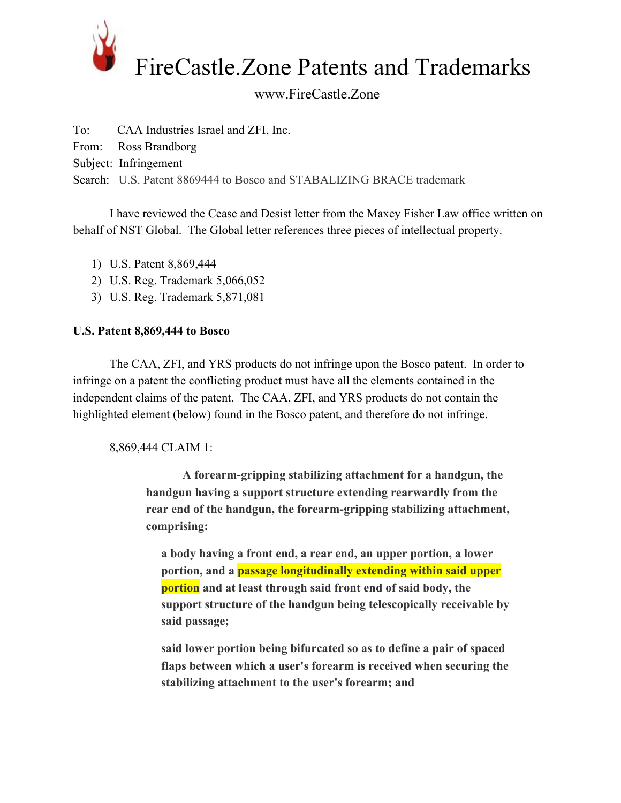

## www.FireCastle.Zone

To: CAA Industries Israel and ZFI, Inc.

From: Ross Brandborg

Subject: Infringement

Search: U.S. Patent 8869444 to Bosco and STABALIZING BRACE trademark

I have reviewed the Cease and Desist letter from the Maxey Fisher Law office written on behalf of NST Global. The Global letter references three pieces of intellectual property.

- 1) U.S. Patent 8,869,444
- 2) U.S. Reg. Trademark 5,066,052
- 3) U.S. Reg. Trademark 5,871,081

## **U.S. Patent 8,869,444 to Bosco**

The CAA, ZFI, and YRS products do not infringe upon the Bosco patent. In order to infringe on a patent the conflicting product must have all the elements contained in the independent claims of the patent. The CAA, ZFI, and YRS products do not contain the highlighted element (below) found in the Bosco patent, and therefore do not infringe.

8,869,444 CLAIM 1:

**A forearm-gripping stabilizing attachment for a handgun, the handgun having a support structure extending rearwardly from the rear end of the handgun, the forearm-gripping stabilizing attachment, comprising:**

**a body having a front end, a rear end, an upper portion, a lower portion, and a passage longitudinally extending within said upper portion and at least through said front end of said body, the support structure of the handgun being telescopically receivable by said passage;**

**said lower portion being bifurcated so as to define a pair of spaced flaps between which a user's forearm is received when securing the stabilizing attachment to the user's forearm; and**